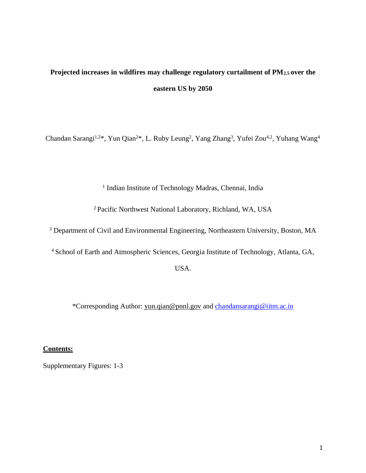## **Projected increases in wildfires may challenge regulatory curtailment of PM2.5 over the eastern US by 2050**

Chandan Sarangi<sup>1,2\*</sup>, Yun Qian<sup>2\*</sup>, L. Ruby Leung<sup>2</sup>, Yang Zhang<sup>3</sup>, Yufei Zou<sup>4,2</sup>, Yuhang Wang<sup>4</sup>

<sup>1</sup> Indian Institute of Technology Madras, Chennai, India

<sup>2</sup>Pacific Northwest National Laboratory, Richland, WA, USA

<sup>3</sup> Department of Civil and Environmental Engineering, Northeastern University, Boston, MA

<sup>4</sup> School of Earth and Atmospheric Sciences, Georgia Institute of Technology, Atlanta, GA,

USA.

\*Corresponding Author: [yun.qian@pnnl.gov](mailto:yun.qian@pnnl.gov) and [chandansarangi@iitm.ac.in](mailto:chandansarangi@iitm.ac.in)

## **Contents:**

Supplementary Figures: 1-3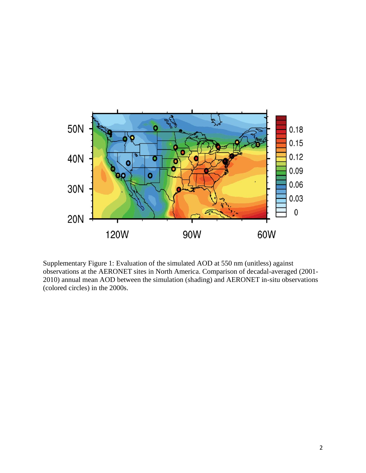

Supplementary Figure 1: Evaluation of the simulated AOD at 550 nm (unitless) against observations at the AERONET sites in North America. Comparison of decadal-averaged (2001- 2010) annual mean AOD between the simulation (shading) and AERONET in-situ observations (colored circles) in the 2000s.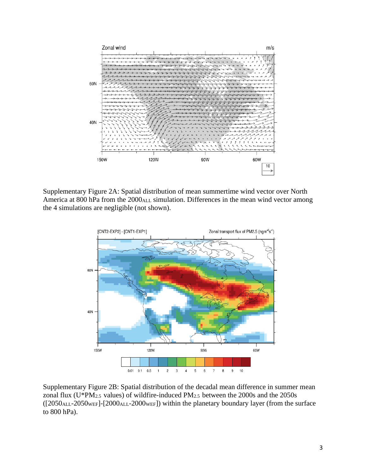

Supplementary Figure 2A: Spatial distribution of mean summertime wind vector over North America at 800 hPa from the 2000<sub>ALL</sub> simulation. Differences in the mean wind vector among the 4 simulations are negligible (not shown).



Supplementary Figure 2B: Spatial distribution of the decadal mean difference in summer mean zonal flux ( $U^*PM_{2.5}$  values) of wildfire-induced  $PM_{2.5}$  between the 2000s and the 2050s ([2050ALL-2050WEF]-[2000ALL-2000WEF]) within the planetary boundary layer (from the surface to 800 hPa).